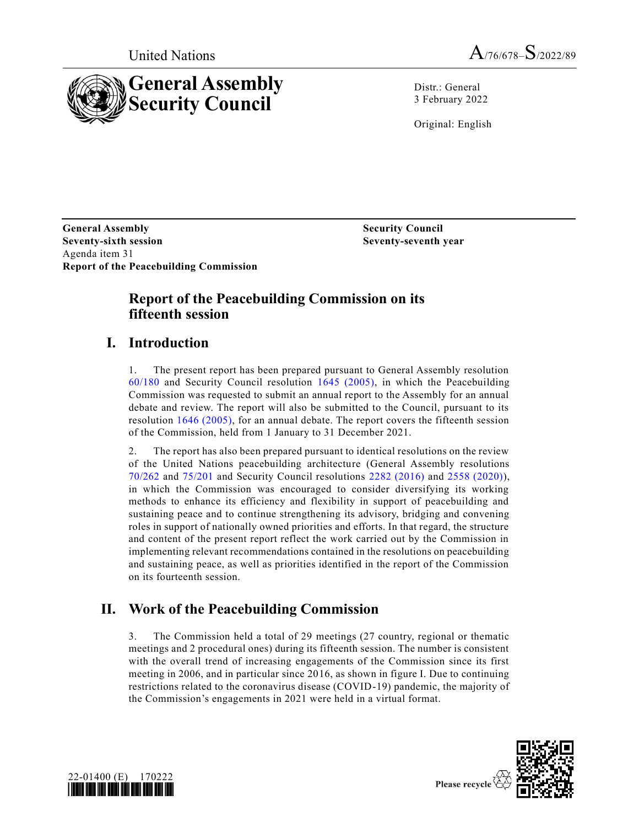



Distr.: General 3 February 2022

Original: English

**General Assembly Security Council Seventy-sixth session Seventy-seventh year** Agenda item 31 **Report of the Peacebuilding Commission**

## **Report of the Peacebuilding Commission on its fifteenth session**

## **I. Introduction**

1. The present report has been prepared pursuant to General Assembly resolution [60/180](https://undocs.org/en/A/RES/60/180) and Security Council resolution [1645 \(2005\),](https://undocs.org/en/S/RES/1645(2005)) in which the Peacebuilding Commission was requested to submit an annual report to the Assembly for an annual debate and review. The report will also be submitted to the Council, pursuant to its resolution [1646 \(2005\),](https://undocs.org/en/S/RES/1646(2005)) for an annual debate. The report covers the fifteenth session of the Commission, held from 1 January to 31 December 2021.

2. The report has also been prepared pursuant to identical resolutions on the review of the United Nations peacebuilding architecture (General Assembly resolutions [70/262](https://undocs.org/en/A/RES/70/262) and [75/201](https://undocs.org/en/A/RES/75/201) and Security Council resolutions [2282 \(2016\)](https://undocs.org/en/S/RES/2282(2016)) and [2558 \(2020\)\)](https://undocs.org/en/S/RES/2558(2020)), in which the Commission was encouraged to consider diversifying its working methods to enhance its efficiency and flexibility in support of peacebuilding and sustaining peace and to continue strengthening its advisory, bridging and convening roles in support of nationally owned priorities and efforts. In that regard, the structure and content of the present report reflect the work carried out by the Commission in implementing relevant recommendations contained in the resolutions on peacebuilding and sustaining peace, as well as priorities identified in the report of the Commission on its fourteenth session.

## **II. Work of the Peacebuilding Commission**

3. The Commission held a total of 29 meetings (27 country, regional or thematic meetings and 2 procedural ones) during its fifteenth session. The number is consistent with the overall trend of increasing engagements of the Commission since its first meeting in 2006, and in particular since 2016, as shown in figure I. Due to continuing restrictions related to the coronavirus disease (COVID-19) pandemic, the majority of the Commission's engagements in 2021 were held in a virtual format.



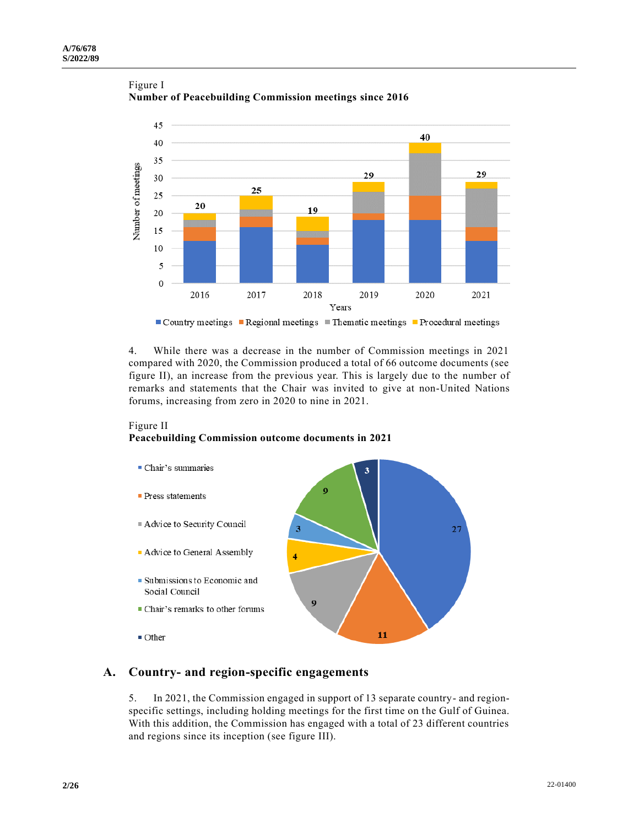

Figure I **Number of Peacebuilding Commission meetings since 2016** 

4. While there was a decrease in the number of Commission meetings in 2021 compared with 2020, the Commission produced a total of 66 outcome documents (see figure II), an increase from the previous year. This is largely due to the number of remarks and statements that the Chair was invited to give at non-United Nations forums, increasing from zero in 2020 to nine in 2021.

#### Figure II

### **Peacebuilding Commission outcome documents in 2021**



## **A. Country- and region-specific engagements**

5. In 2021, the Commission engaged in support of 13 separate country- and regionspecific settings, including holding meetings for the first time on the Gulf of Guinea. With this addition, the Commission has engaged with a total of 23 different countries and regions since its inception (see figure III).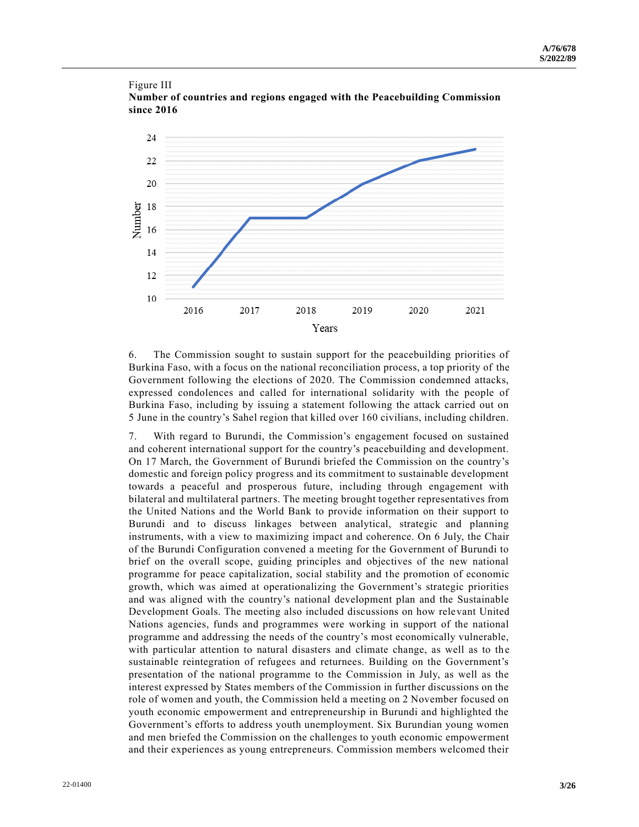

Figure III **Number of countries and regions engaged with the Peacebuilding Commission since 2016** 

6. The Commission sought to sustain support for the peacebuilding priorities of Burkina Faso, with a focus on the national reconciliation process, a top priority of the Government following the elections of 2020. The Commission condemned attacks, expressed condolences and called for international solidarity with the people of Burkina Faso, including by issuing a statement following the attack carried out on 5 June in the country's Sahel region that killed over 160 civilians, including children.

7. With regard to Burundi, the Commission's engagement focused on sustained and coherent international support for the country's peacebuilding and development. On 17 March, the Government of Burundi briefed the Commission on the country's domestic and foreign policy progress and its commitment to sustainable development towards a peaceful and prosperous future, including through engagement with bilateral and multilateral partners. The meeting brought together representatives from the United Nations and the World Bank to provide information on their support to Burundi and to discuss linkages between analytical, strategic and planning instruments, with a view to maximizing impact and coherence. On 6 July, the Chair of the Burundi Configuration convened a meeting for the Government of Burundi to brief on the overall scope, guiding principles and objectives of the new national programme for peace capitalization, social stability and the promotion of economic growth, which was aimed at operationalizing the Government's strategic priorities and was aligned with the country's national development plan and the Sustainable Development Goals. The meeting also included discussions on how relevant United Nations agencies, funds and programmes were working in support of the national programme and addressing the needs of the country's most economically vulnerable, with particular attention to natural disasters and climate change, as well as to the sustainable reintegration of refugees and returnees. Building on the Government's presentation of the national programme to the Commission in July, as well as the interest expressed by States members of the Commission in further discussions on the role of women and youth, the Commission held a meeting on 2 November focused on youth economic empowerment and entrepreneurship in Burundi and highlighted the Government's efforts to address youth unemployment. Six Burundian young women and men briefed the Commission on the challenges to youth economic empowerment and their experiences as young entrepreneurs. Commission members welcomed their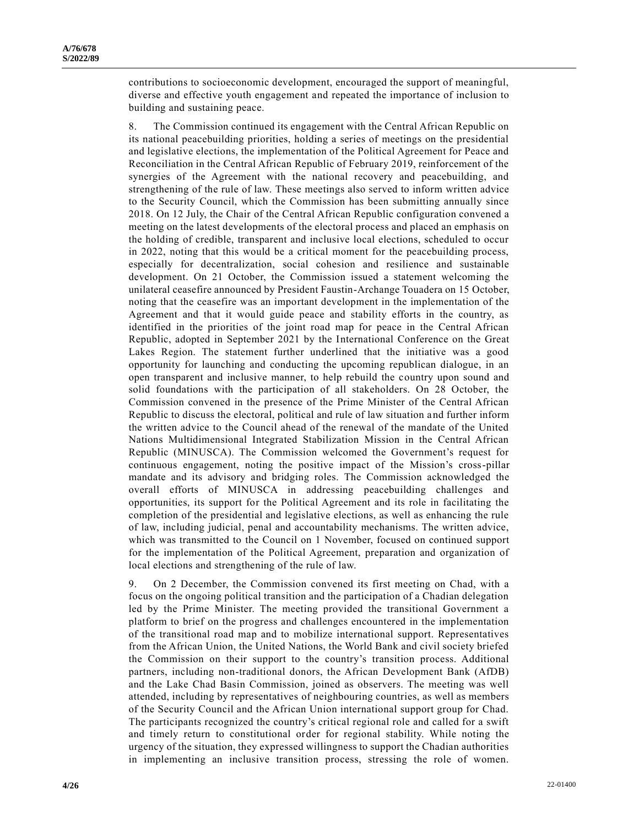contributions to socioeconomic development, encouraged the support of meaningful, diverse and effective youth engagement and repeated the importance of inclusion to building and sustaining peace.

8. The Commission continued its engagement with the Central African Republic on its national peacebuilding priorities, holding a series of meetings on the presidential and legislative elections, the implementation of the Political Agreement for Peace and Reconciliation in the Central African Republic of February 2019, reinforcement of the synergies of the Agreement with the national recovery and peacebuilding, and strengthening of the rule of law. These meetings also served to inform written advice to the Security Council, which the Commission has been submitting annually since 2018. On 12 July, the Chair of the Central African Republic configuration convened a meeting on the latest developments of the electoral process and placed an emphasis on the holding of credible, transparent and inclusive local elections, scheduled to occur in 2022, noting that this would be a critical moment for the peacebuilding process, especially for decentralization, social cohesion and resilience and sustainable development. On 21 October, the Commission issued a statement welcoming the unilateral ceasefire announced by President Faustin-Archange Touadera on 15 October, noting that the ceasefire was an important development in the implementation of the Agreement and that it would guide peace and stability efforts in the country, as identified in the priorities of the joint road map for peace in the Central African Republic, adopted in September 2021 by the International Conference on the Great Lakes Region. The statement further underlined that the initiative was a good opportunity for launching and conducting the upcoming republican dialogue, in an open transparent and inclusive manner, to help rebuild the country upon sound and solid foundations with the participation of all stakeholders. On 28 October, the Commission convened in the presence of the Prime Minister of the Central African Republic to discuss the electoral, political and rule of law situation and further inform the written advice to the Council ahead of the renewal of the mandate of the United Nations Multidimensional Integrated Stabilization Mission in the Central African Republic (MINUSCA). The Commission welcomed the Government's request for continuous engagement, noting the positive impact of the Mission's cross-pillar mandate and its advisory and bridging roles. The Commission acknowledged the overall efforts of MINUSCA in addressing peacebuilding challenges and opportunities, its support for the Political Agreement and its role in facilitating the completion of the presidential and legislative elections, as well as enhancing the rule of law, including judicial, penal and accountability mechanisms. The written advice, which was transmitted to the Council on 1 November, focused on continued support for the implementation of the Political Agreement, preparation and organization of local elections and strengthening of the rule of law.

9. On 2 December, the Commission convened its first meeting on Chad, with a focus on the ongoing political transition and the participation of a Chadian delegation led by the Prime Minister. The meeting provided the transitional Government a platform to brief on the progress and challenges encountered in the implementation of the transitional road map and to mobilize international support. Representatives from the African Union, the United Nations, the World Bank and civil society briefed the Commission on their support to the country's transition process. Additional partners, including non-traditional donors, the African Development Bank (AfDB) and the Lake Chad Basin Commission, joined as observers. The meeting was well attended, including by representatives of neighbouring countries, as well as members of the Security Council and the African Union international support group for Chad. The participants recognized the country's critical regional role and called for a swift and timely return to constitutional order for regional stability. While noting the urgency of the situation, they expressed willingness to support the Chadian authorities in implementing an inclusive transition process, stressing the role of women.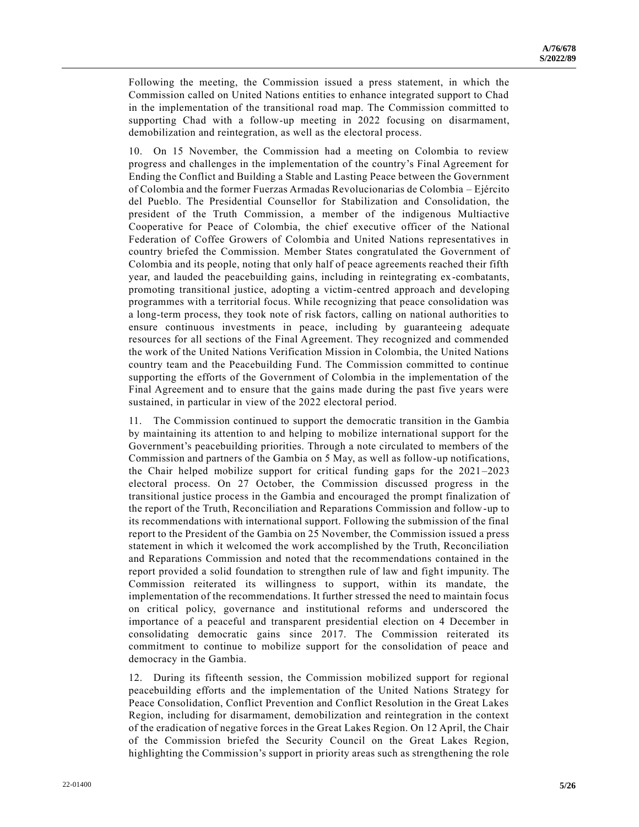Following the meeting, the Commission issued a press statement, in which the Commission called on United Nations entities to enhance integrated support to Chad in the implementation of the transitional road map. The Commission committed to supporting Chad with a follow-up meeting in 2022 focusing on disarmament, demobilization and reintegration, as well as the electoral process.

10. On 15 November, the Commission had a meeting on Colombia to review progress and challenges in the implementation of the country's Final Agreement for Ending the Conflict and Building a Stable and Lasting Peace between the Government of Colombia and the former Fuerzas Armadas Revolucionarias de Colombia – Ejército del Pueblo. The Presidential Counsellor for Stabilization and Consolidation, the president of the Truth Commission, a member of the indigenous Multiactive Cooperative for Peace of Colombia, the chief executive officer of the National Federation of Coffee Growers of Colombia and United Nations representatives in country briefed the Commission. Member States congratulated the Government of Colombia and its people, noting that only half of peace agreements reached their fifth year, and lauded the peacebuilding gains, including in reintegrating ex-combatants, promoting transitional justice, adopting a victim-centred approach and developing programmes with a territorial focus. While recognizing that peace consolidation was a long-term process, they took note of risk factors, calling on national authorities to ensure continuous investments in peace, including by guaranteeing adequate resources for all sections of the Final Agreement. They recognized and commended the work of the United Nations Verification Mission in Colombia, the United Nations country team and the Peacebuilding Fund. The Commission committed to continue supporting the efforts of the Government of Colombia in the implementation of the Final Agreement and to ensure that the gains made during the past five years were sustained, in particular in view of the 2022 electoral period.

11. The Commission continued to support the democratic transition in the Gambia by maintaining its attention to and helping to mobilize international support for the Government's peacebuilding priorities. Through a note circulated to members of the Commission and partners of the Gambia on 5 May, as well as follow-up notifications, the Chair helped mobilize support for critical funding gaps for the 2021–2023 electoral process. On 27 October, the Commission discussed progress in the transitional justice process in the Gambia and encouraged the prompt finalization of the report of the Truth, Reconciliation and Reparations Commission and follow-up to its recommendations with international support. Following the submission of the final report to the President of the Gambia on 25 November, the Commission issued a press statement in which it welcomed the work accomplished by the Truth, Reconciliation and Reparations Commission and noted that the recommendations contained in the report provided a solid foundation to strengthen rule of law and fight impunity. The Commission reiterated its willingness to support, within its mandate, the implementation of the recommendations. It further stressed the need to maintain focus on critical policy, governance and institutional reforms and underscored the importance of a peaceful and transparent presidential election on 4 December in consolidating democratic gains since 2017. The Commission reiterated its commitment to continue to mobilize support for the consolidation of peace and democracy in the Gambia.

12. During its fifteenth session, the Commission mobilized support for regional peacebuilding efforts and the implementation of the United Nations Strategy for Peace Consolidation, Conflict Prevention and Conflict Resolution in the Great Lakes Region, including for disarmament, demobilization and reintegration in the context of the eradication of negative forces in the Great Lakes Region. On 12 April, the Chair of the Commission briefed the Security Council on the Great Lakes Region, highlighting the Commission's support in priority areas such as strengthening the role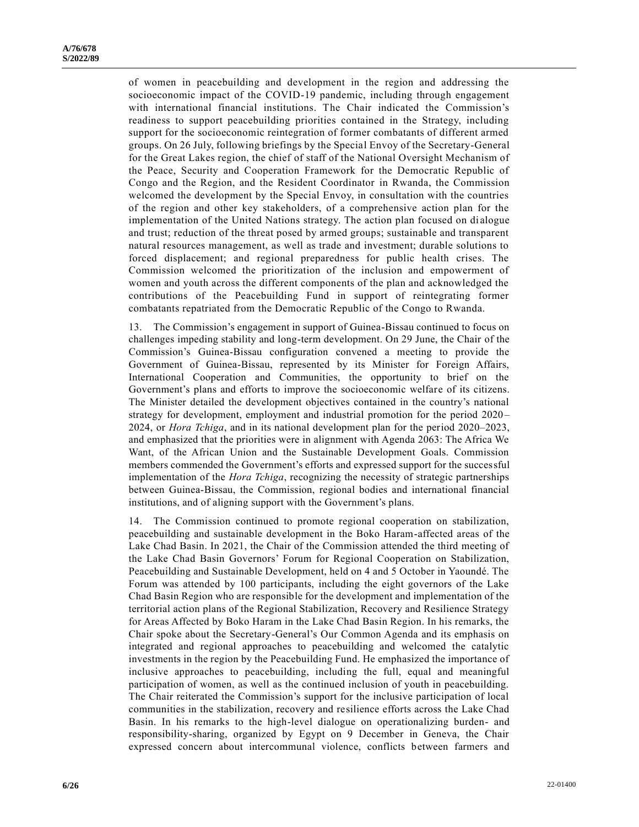of women in peacebuilding and development in the region and addressing the socioeconomic impact of the COVID-19 pandemic, including through engagement with international financial institutions. The Chair indicated the Commission's readiness to support peacebuilding priorities contained in the Strategy, including support for the socioeconomic reintegration of former combatants of different armed groups. On 26 July, following briefings by the Special Envoy of the Secretary-General for the Great Lakes region, the chief of staff of the National Oversight Mechanism of the Peace, Security and Cooperation Framework for the Democratic Republic of Congo and the Region, and the Resident Coordinator in Rwanda, the Commission welcomed the development by the Special Envoy, in consultation with the countries of the region and other key stakeholders, of a comprehensive action plan for the implementation of the United Nations strategy. The action plan focused on di alogue and trust; reduction of the threat posed by armed groups; sustainable and transparent natural resources management, as well as trade and investment; durable solutions to forced displacement; and regional preparedness for public health crises. The Commission welcomed the prioritization of the inclusion and empowerment of women and youth across the different components of the plan and acknowledged the contributions of the Peacebuilding Fund in support of reintegrating former combatants repatriated from the Democratic Republic of the Congo to Rwanda.

13. The Commission's engagement in support of Guinea-Bissau continued to focus on challenges impeding stability and long-term development. On 29 June, the Chair of the Commission's Guinea-Bissau configuration convened a meeting to provide the Government of Guinea-Bissau, represented by its Minister for Foreign Affairs, International Cooperation and Communities, the opportunity to brief on the Government's plans and efforts to improve the socioeconomic welfare of its citizens. The Minister detailed the development objectives contained in the country's national strategy for development, employment and industrial promotion for the period 2020 – 2024, or *Hora Tchiga*, and in its national development plan for the period 2020–2023, and emphasized that the priorities were in alignment with Agenda 2063: The Africa We Want, of the African Union and the Sustainable Development Goals. Commission members commended the Government's efforts and expressed support for the successful implementation of the *Hora Tchiga*, recognizing the necessity of strategic partnerships between Guinea-Bissau, the Commission, regional bodies and international financial institutions, and of aligning support with the Government's plans.

14. The Commission continued to promote regional cooperation on stabilization, peacebuilding and sustainable development in the Boko Haram-affected areas of the Lake Chad Basin. In 2021, the Chair of the Commission attended the third meeting of the Lake Chad Basin Governors' Forum for Regional Cooperation on Stabilization, Peacebuilding and Sustainable Development, held on 4 and 5 October in Yaoundé. The Forum was attended by 100 participants, including the eight governors of the Lake Chad Basin Region who are responsible for the development and implementation of the territorial action plans of the Regional Stabilization, Recovery and Resilience Strategy for Areas Affected by Boko Haram in the Lake Chad Basin Region. In his remarks, the Chair spoke about the Secretary-General's Our Common Agenda and its emphasis on integrated and regional approaches to peacebuilding and welcomed the catalytic investments in the region by the Peacebuilding Fund. He emphasized the importance of inclusive approaches to peacebuilding, including the full, equal and meaningful participation of women, as well as the continued inclusion of youth in peacebuilding. The Chair reiterated the Commission's support for the inclusive participation of local communities in the stabilization, recovery and resilience efforts across the Lake Chad Basin. In his remarks to the high-level dialogue on operationalizing burden- and responsibility-sharing, organized by Egypt on 9 December in Geneva, the Chair expressed concern about intercommunal violence, conflicts between farmers and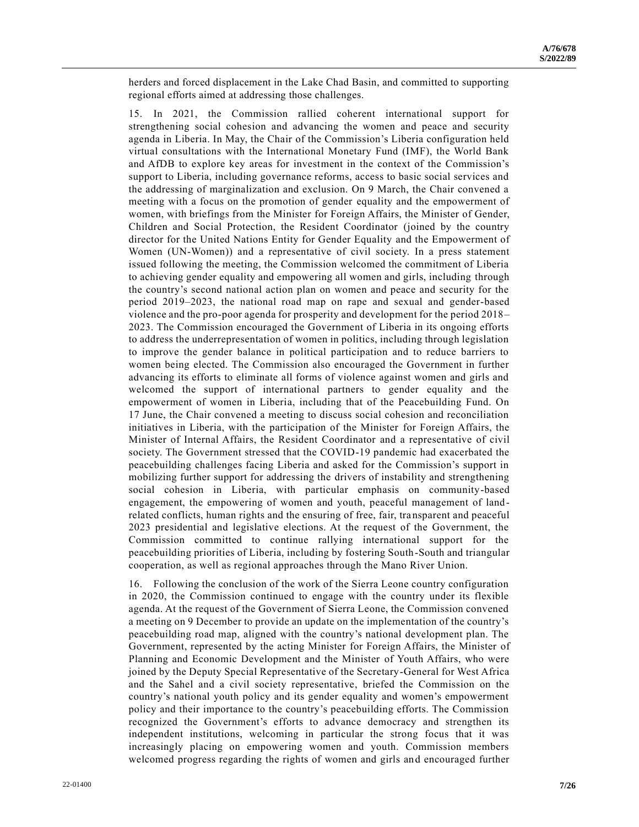herders and forced displacement in the Lake Chad Basin, and committed to supporting regional efforts aimed at addressing those challenges.

15. In 2021, the Commission rallied coherent international support for strengthening social cohesion and advancing the women and peace and security agenda in Liberia. In May, the Chair of the Commission's Liberia configuration held virtual consultations with the International Monetary Fund (IMF), the World Bank and AfDB to explore key areas for investment in the context of the Commission's support to Liberia, including governance reforms, access to basic social services and the addressing of marginalization and exclusion. On 9 March, the Chair convened a meeting with a focus on the promotion of gender equality and the empowerment of women, with briefings from the Minister for Foreign Affairs, the Minister of Gender, Children and Social Protection, the Resident Coordinator (joined by the country director for the United Nations Entity for Gender Equality and the Empowerment of Women (UN-Women)) and a representative of civil society. In a press statement issued following the meeting, the Commission welcomed the commitment of Liberia to achieving gender equality and empowering all women and girls, including through the country's second national action plan on women and peace and security for the period 2019–2023, the national road map on rape and sexual and gender-based violence and the pro-poor agenda for prosperity and development for the period 2018– 2023. The Commission encouraged the Government of Liberia in its ongoing efforts to address the underrepresentation of women in politics, including through legislation to improve the gender balance in political participation and to reduce barriers to women being elected. The Commission also encouraged the Government in further advancing its efforts to eliminate all forms of violence against women and girls and welcomed the support of international partners to gender equality and the empowerment of women in Liberia, including that of the Peacebuilding Fund. On 17 June, the Chair convened a meeting to discuss social cohesion and reconciliation initiatives in Liberia, with the participation of the Minister for Foreign Affairs, the Minister of Internal Affairs, the Resident Coordinator and a representative of civil society. The Government stressed that the COVID-19 pandemic had exacerbated the peacebuilding challenges facing Liberia and asked for the Commission's support in mobilizing further support for addressing the drivers of instability and strengthening social cohesion in Liberia, with particular emphasis on community-based engagement, the empowering of women and youth, peaceful management of landrelated conflicts, human rights and the ensuring of free, fair, transparent and peaceful 2023 presidential and legislative elections. At the request of the Government, the Commission committed to continue rallying international support for the peacebuilding priorities of Liberia, including by fostering South-South and triangular cooperation, as well as regional approaches through the Mano River Union.

16. Following the conclusion of the work of the Sierra Leone country configuration in 2020, the Commission continued to engage with the country under its flexible agenda. At the request of the Government of Sierra Leone, the Commission convened a meeting on 9 December to provide an update on the implementation of the country's peacebuilding road map, aligned with the country's national development plan. The Government, represented by the acting Minister for Foreign Affairs, the Minister of Planning and Economic Development and the Minister of Youth Affairs, who were joined by the Deputy Special Representative of the Secretary-General for West Africa and the Sahel and a civil society representative, briefed the Commission on the country's national youth policy and its gender equality and women's empowerment policy and their importance to the country's peacebuilding efforts. The Commission recognized the Government's efforts to advance democracy and strengthen its independent institutions, welcoming in particular the strong focus that it was increasingly placing on empowering women and youth. Commission members welcomed progress regarding the rights of women and girls and encouraged further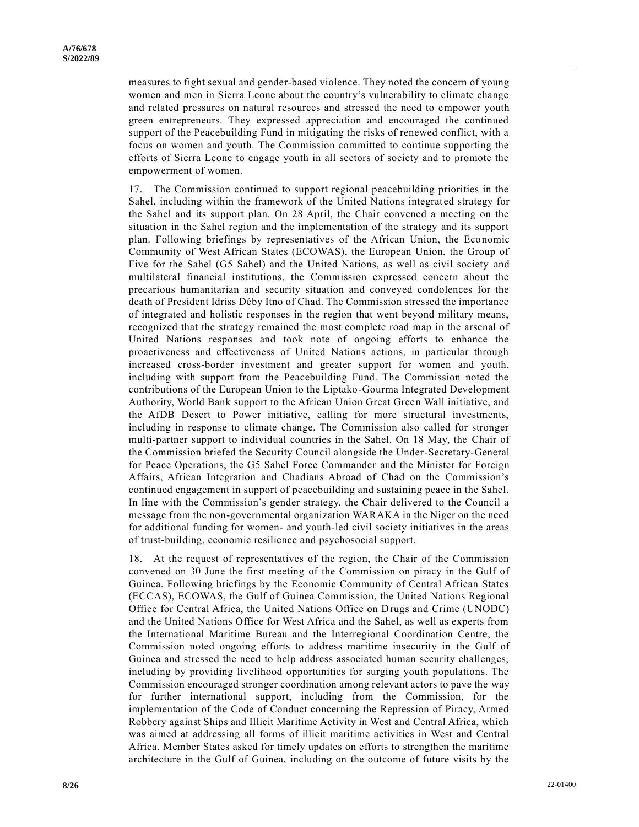measures to fight sexual and gender-based violence. They noted the concern of young women and men in Sierra Leone about the country's vulnerability to climate change and related pressures on natural resources and stressed the need to empower youth green entrepreneurs. They expressed appreciation and encouraged the continued support of the Peacebuilding Fund in mitigating the risks of renewed conflict, with a focus on women and youth. The Commission committed to continue supporting the efforts of Sierra Leone to engage youth in all sectors of society and to promote the empowerment of women.

17. The Commission continued to support regional peacebuilding priorities in the Sahel, including within the framework of the United Nations integrated strategy for the Sahel and its support plan. On 28 April, the Chair convened a meeting on the situation in the Sahel region and the implementation of the strategy and its support plan. Following briefings by representatives of the African Union, the Economic Community of West African States (ECOWAS), the European Union, the Group of Five for the Sahel (G5 Sahel) and the United Nations, as well as civil society and multilateral financial institutions, the Commission expressed concern about the precarious humanitarian and security situation and conveyed condolences for the death of President Idriss Déby Itno of Chad. The Commission stressed the importance of integrated and holistic responses in the region that went beyond military means, recognized that the strategy remained the most complete road map in the arsenal of United Nations responses and took note of ongoing efforts to enhance the proactiveness and effectiveness of United Nations actions, in particular through increased cross-border investment and greater support for women and youth, including with support from the Peacebuilding Fund. The Commission noted the contributions of the European Union to the Liptako-Gourma Integrated Development Authority, World Bank support to the African Union Great Green Wall initiative, and the AfDB Desert to Power initiative, calling for more structural investments, including in response to climate change. The Commission also called for stronger multi-partner support to individual countries in the Sahel. On 18 May, the Chair of the Commission briefed the Security Council alongside the Under-Secretary-General for Peace Operations, the G5 Sahel Force Commander and the Minister for Foreign Affairs, African Integration and Chadians Abroad of Chad on the Commission's continued engagement in support of peacebuilding and sustaining peace in the Sahel. In line with the Commission's gender strategy, the Chair delivered to the Council a message from the non-governmental organization WARAKA in the Niger on the need for additional funding for women- and youth-led civil society initiatives in the areas of trust-building, economic resilience and psychosocial support.

18. At the request of representatives of the region, the Chair of the Commission convened on 30 June the first meeting of the Commission on piracy in the Gulf of Guinea. Following briefings by the Economic Community of Central African States (ECCAS), ECOWAS, the Gulf of Guinea Commission, the United Nations Regional Office for Central Africa, the United Nations Office on Drugs and Crime (UNODC) and the United Nations Office for West Africa and the Sahel, as well as experts from the International Maritime Bureau and the Interregional Coordination Centre, the Commission noted ongoing efforts to address maritime insecurity in the Gulf of Guinea and stressed the need to help address associated human security challenges, including by providing livelihood opportunities for surging youth populations. The Commission encouraged stronger coordination among relevant actors to pave the way for further international support, including from the Commission, for the implementation of the Code of Conduct concerning the Repression of Piracy, Armed Robbery against Ships and Illicit Maritime Activity in West and Central Africa, which was aimed at addressing all forms of illicit maritime activities in West and Central Africa. Member States asked for timely updates on efforts to strengthen the maritime architecture in the Gulf of Guinea, including on the outcome of future visits by the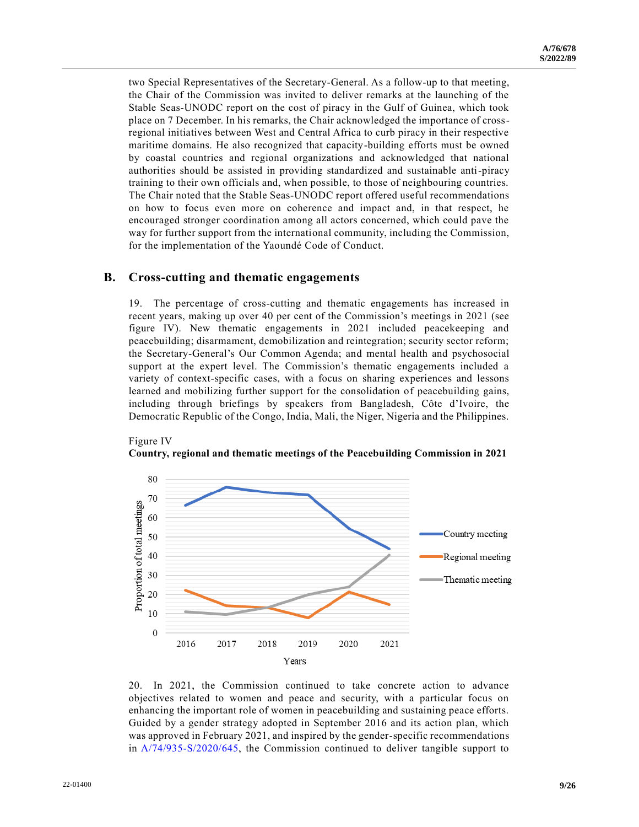two Special Representatives of the Secretary-General. As a follow-up to that meeting, the Chair of the Commission was invited to deliver remarks at the launching of the Stable Seas-UNODC report on the cost of piracy in the Gulf of Guinea, which took place on 7 December. In his remarks, the Chair acknowledged the importance of crossregional initiatives between West and Central Africa to curb piracy in their respective maritime domains. He also recognized that capacity-building efforts must be owned by coastal countries and regional organizations and acknowledged that national authorities should be assisted in providing standardized and sustainable anti-piracy training to their own officials and, when possible, to those of neighbouring countries. The Chair noted that the Stable Seas-UNODC report offered useful recommendations on how to focus even more on coherence and impact and, in that respect, he encouraged stronger coordination among all actors concerned, which could pave the way for further support from the international community, including the Commission, for the implementation of the Yaoundé Code of Conduct.

## **B. Cross-cutting and thematic engagements**

Figure IV

19. The percentage of cross-cutting and thematic engagements has increased in recent years, making up over 40 per cent of the Commission's meetings in 2021 (see figure IV). New thematic engagements in 2021 included peacekeeping and peacebuilding; disarmament, demobilization and reintegration; security sector reform; the Secretary-General's Our Common Agenda; and mental health and psychosocial support at the expert level. The Commission's thematic engagements included a variety of context-specific cases, with a focus on sharing experiences and lessons learned and mobilizing further support for the consolidation of peacebuilding gains, including through briefings by speakers from Bangladesh, Côte d'Ivoire, the Democratic Republic of the Congo, India, Mali, the Niger, Nigeria and the Philippines.



**Country, regional and thematic meetings of the Peacebuilding Commission in 2021** 

20. In 2021, the Commission continued to take concrete action to advance objectives related to women and peace and security, with a particular focus on enhancing the important role of women in peacebuilding and sustaining peace efforts. Guided by a gender strategy adopted in September 2016 and its action plan, which was approved in February 2021, and inspired by the gender-specific recommendations in [A/74/935-S/2020/645,](https://undocs.org/en/A/74/935) the Commission continued to deliver tangible support to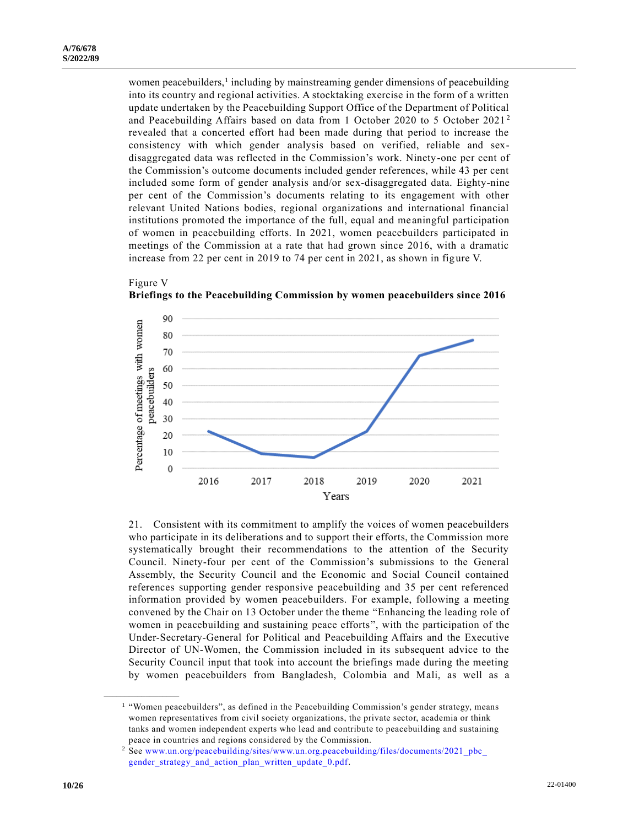Figure V

women peacebuilders,<sup>1</sup> including by mainstreaming gender dimensions of peacebuilding into its country and regional activities. A stocktaking exercise in the form of a written update undertaken by the Peacebuilding Support Office of the Department of Political and Peacebuilding Affairs based on data from 1 October 2020 to 5 October 2021 <sup>2</sup> revealed that a concerted effort had been made during that period to increase the consistency with which gender analysis based on verified, reliable and sexdisaggregated data was reflected in the Commission's work. Ninety-one per cent of the Commission's outcome documents included gender references, while 43 per cent included some form of gender analysis and/or sex-disaggregated data. Eighty-nine per cent of the Commission's documents relating to its engagement with other relevant United Nations bodies, regional organizations and international financial institutions promoted the importance of the full, equal and me aningful participation of women in peacebuilding efforts. In 2021, women peacebuilders participated in meetings of the Commission at a rate that had grown since 2016, with a dramatic increase from 22 per cent in 2019 to 74 per cent in 2021, as shown in figure V.



**Briefings to the Peacebuilding Commission by women peacebuilders since 2016** 

21. Consistent with its commitment to amplify the voices of women peacebuilders who participate in its deliberations and to support their efforts, the Commission more systematically brought their recommendations to the attention of the Security Council. Ninety-four per cent of the Commission's submissions to the General Assembly, the Security Council and the Economic and Social Council contained references supporting gender responsive peacebuilding and 35 per cent referenced information provided by women peacebuilders. For example, following a meeting convened by the Chair on 13 October under the theme "Enhancing the leading role of women in peacebuilding and sustaining peace efforts", with the participation of the Under-Secretary-General for Political and Peacebuilding Affairs and the Executive Director of UN-Women, the Commission included in its subsequent advice to the Security Council input that took into account the briefings made during the meeting by women peacebuilders from Bangladesh, Colombia and Mali, as well as a

**\_\_\_\_\_\_\_\_\_\_\_\_\_\_\_\_\_\_**

<sup>&</sup>lt;sup>1</sup> "Women peacebuilders", as defined in the Peacebuilding Commission's gender strategy, means women representatives from civil society organizations, the private sector, academia or think tanks and women independent experts who lead and contribute to peacebuilding and sustaining peace in countries and regions considered by the Commission.

<sup>&</sup>lt;sup>2</sup> See www.un.org/peacebuilding/sites/www.un.org.peacebuilding/files/documents/2021\_pbc\_ [gender\\_strategy\\_and\\_action\\_plan\\_written\\_update\\_0.pdf.](http://www.un.org/peacebuilding/sites/www.un.org.peacebuilding/files/documents/2021_pbc_%20gender_strategy_and_action_plan_written_update_0.pdf)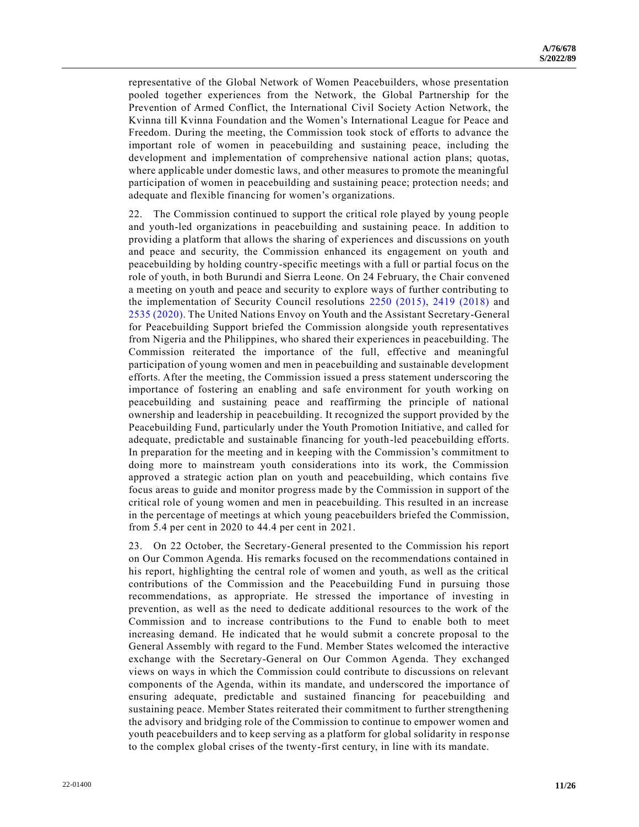representative of the Global Network of Women Peacebuilders, whose presentation pooled together experiences from the Network, the Global Partnership for the Prevention of Armed Conflict, the International Civil Society Action Network, the Kvinna till Kvinna Foundation and the Women's International League for Peace and Freedom. During the meeting, the Commission took stock of efforts to advance the important role of women in peacebuilding and sustaining peace, including the development and implementation of comprehensive national action plans; quotas, where applicable under domestic laws, and other measures to promote the meaningful participation of women in peacebuilding and sustaining peace; protection needs; and adequate and flexible financing for women's organizations.

22. The Commission continued to support the critical role played by young people and youth-led organizations in peacebuilding and sustaining peace. In addition to providing a platform that allows the sharing of experiences and discussions on youth and peace and security, the Commission enhanced its engagement on youth and peacebuilding by holding country-specific meetings with a full or partial focus on the role of youth, in both Burundi and Sierra Leone. On 24 February, the Chair convened a meeting on youth and peace and security to explore ways of further contributing to the implementation of Security Council resolutions [2250 \(2015\),](https://undocs.org/en/S/RES/2250(2015)) [2419 \(2018\)](https://undocs.org/en/S/RES/2419(2018)) and [2535 \(2020\).](https://undocs.org/en/S/RES/2535(2020)) The United Nations Envoy on Youth and the Assistant Secretary-General for Peacebuilding Support briefed the Commission alongside youth representatives from Nigeria and the Philippines, who shared their experiences in peacebuilding. The Commission reiterated the importance of the full, effective and meaningful participation of young women and men in peacebuilding and sustainable development efforts. After the meeting, the Commission issued a press statement underscoring the importance of fostering an enabling and safe environment for youth working on peacebuilding and sustaining peace and reaffirming the principle of national ownership and leadership in peacebuilding. It recognized the support provided by the Peacebuilding Fund, particularly under the Youth Promotion Initiative, and called for adequate, predictable and sustainable financing for youth-led peacebuilding efforts. In preparation for the meeting and in keeping with the Commission's commitment to doing more to mainstream youth considerations into its work, the Commission approved a strategic action plan on youth and peacebuilding, which contains five focus areas to guide and monitor progress made by the Commission in support of the critical role of young women and men in peacebuilding. This resulted in an increase in the percentage of meetings at which young peacebuilders briefed the Commission, from 5.4 per cent in 2020 to 44.4 per cent in 2021.

23. On 22 October, the Secretary-General presented to the Commission his report on Our Common Agenda. His remarks focused on the recommendations contained in his report, highlighting the central role of women and youth, as well as the critical contributions of the Commission and the Peacebuilding Fund in pursuing those recommendations, as appropriate. He stressed the importance of investing in prevention, as well as the need to dedicate additional resources to the work of the Commission and to increase contributions to the Fund to enable both to meet increasing demand. He indicated that he would submit a concrete proposal to the General Assembly with regard to the Fund. Member States welcomed the interactive exchange with the Secretary-General on Our Common Agenda. They exchanged views on ways in which the Commission could contribute to discussions on relevant components of the Agenda, within its mandate, and underscored the importance of ensuring adequate, predictable and sustained financing for peacebuilding and sustaining peace. Member States reiterated their commitment to further strengthening the advisory and bridging role of the Commission to continue to empower women and youth peacebuilders and to keep serving as a platform for global solidarity in response to the complex global crises of the twenty-first century, in line with its mandate.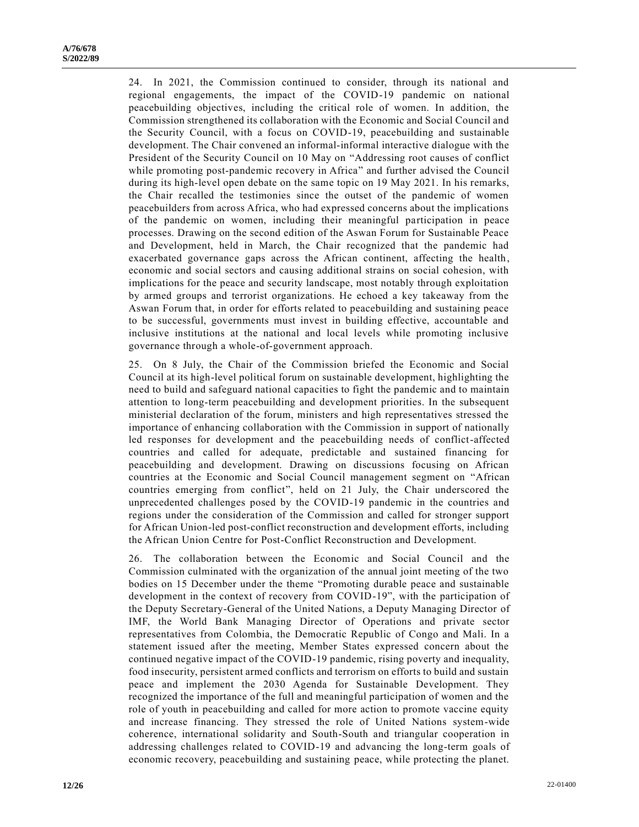24. In 2021, the Commission continued to consider, through its national and regional engagements, the impact of the COVID-19 pandemic on national peacebuilding objectives, including the critical role of women. In addition, the Commission strengthened its collaboration with the Economic and Social Council and the Security Council, with a focus on COVID-19, peacebuilding and sustainable development. The Chair convened an informal-informal interactive dialogue with the President of the Security Council on 10 May on "Addressing root causes of conflict while promoting post-pandemic recovery in Africa" and further advised the Council during its high-level open debate on the same topic on 19 May 2021. In his remarks, the Chair recalled the testimonies since the outset of the pandemic of women peacebuilders from across Africa, who had expressed concerns about the implications of the pandemic on women, including their meaningful participation in peace processes. Drawing on the second edition of the Aswan Forum for Sustainable Peace and Development, held in March, the Chair recognized that the pandemic had exacerbated governance gaps across the African continent, affecting the health, economic and social sectors and causing additional strains on social cohesion, with implications for the peace and security landscape, most notably through exploitation by armed groups and terrorist organizations. He echoed a key takeaway from the Aswan Forum that, in order for efforts related to peacebuilding and sustaining peace to be successful, governments must invest in building effective, accountable and inclusive institutions at the national and local levels while promoting inclusive governance through a whole-of-government approach.

25. On 8 July, the Chair of the Commission briefed the Economic and Social Council at its high-level political forum on sustainable development, highlighting the need to build and safeguard national capacities to fight the pandemic and to maintain attention to long-term peacebuilding and development priorities. In the subsequent ministerial declaration of the forum, ministers and high representatives stressed the importance of enhancing collaboration with the Commission in support of nationally led responses for development and the peacebuilding needs of conflict-affected countries and called for adequate, predictable and sustained financing for peacebuilding and development. Drawing on discussions focusing on African countries at the Economic and Social Council management segment on "African countries emerging from conflict", held on 21 July, the Chair underscored the unprecedented challenges posed by the COVID-19 pandemic in the countries and regions under the consideration of the Commission and called for stronger support for African Union-led post-conflict reconstruction and development efforts, including the African Union Centre for Post-Conflict Reconstruction and Development.

26. The collaboration between the Economic and Social Council and the Commission culminated with the organization of the annual joint meeting of the two bodies on 15 December under the theme "Promoting durable peace and sustainable development in the context of recovery from COVID-19", with the participation of the Deputy Secretary-General of the United Nations, a Deputy Managing Director of IMF, the World Bank Managing Director of Operations and private sector representatives from Colombia, the Democratic Republic of Congo and Mali. In a statement issued after the meeting, Member States expressed concern about the continued negative impact of the COVID-19 pandemic, rising poverty and inequality, food insecurity, persistent armed conflicts and terrorism on efforts to build and sustain peace and implement the 2030 Agenda for Sustainable Development. They recognized the importance of the full and meaningful participation of women and the role of youth in peacebuilding and called for more action to promote vaccine equity and increase financing. They stressed the role of United Nations system-wide coherence, international solidarity and South-South and triangular cooperation in addressing challenges related to COVID-19 and advancing the long-term goals of economic recovery, peacebuilding and sustaining peace, while protecting the planet.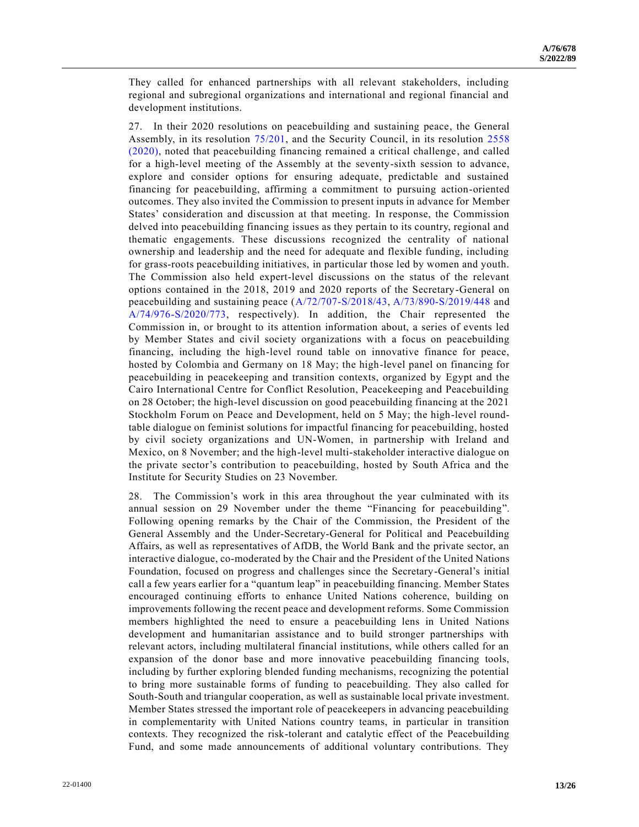They called for enhanced partnerships with all relevant stakeholders, including regional and subregional organizations and international and regional financial and development institutions.

27. In their 2020 resolutions on peacebuilding and sustaining peace, the General Assembly, in its resolution [75/201,](https://undocs.org/en/A/RES/75/201) and the Security Council, in its resolution [2558](https://undocs.org/en/S/RES/2558(2020))  [\(2020\),](https://undocs.org/en/S/RES/2558(2020)) noted that peacebuilding financing remained a critical challenge, and called for a high-level meeting of the Assembly at the seventy-sixth session to advance, explore and consider options for ensuring adequate, predictable and sustained financing for peacebuilding, affirming a commitment to pursuing action-oriented outcomes. They also invited the Commission to present inputs in advance for Member States' consideration and discussion at that meeting. In response, the Commission delved into peacebuilding financing issues as they pertain to its country, regional and thematic engagements. These discussions recognized the centrality of national ownership and leadership and the need for adequate and flexible funding, including for grass-roots peacebuilding initiatives, in particular those led by women and youth. The Commission also held expert-level discussions on the status of the relevant options contained in the 2018, 2019 and 2020 reports of the Secretary-General on peacebuilding and sustaining peace [\(A/72/707-S/2018/43,](https://undocs.org/en/A/72/707) [A/73/890-S/2019/448](https://undocs.org/en/A/73/890) and [A/74/976-S/2020/773,](https://undocs.org/en/A/74/976) respectively). In addition, the Chair represented the Commission in, or brought to its attention information about, a series of events led by Member States and civil society organizations with a focus on peacebuilding financing, including the high-level round table on innovative finance for peace, hosted by Colombia and Germany on 18 May; the high-level panel on financing for peacebuilding in peacekeeping and transition contexts, organized by Egypt and the Cairo International Centre for Conflict Resolution, Peacekeeping and Peacebuilding on 28 October; the high-level discussion on good peacebuilding financing at the 2021 Stockholm Forum on Peace and Development, held on 5 May; the high-level roundtable dialogue on feminist solutions for impactful financing for peacebuilding, hosted by civil society organizations and UN-Women, in partnership with Ireland and Mexico, on 8 November; and the high-level multi-stakeholder interactive dialogue on the private sector's contribution to peacebuilding, hosted by South Africa and the Institute for Security Studies on 23 November.

28. The Commission's work in this area throughout the year culminated with its annual session on 29 November under the theme "Financing for peacebuilding". Following opening remarks by the Chair of the Commission, the President of the General Assembly and the Under-Secretary-General for Political and Peacebuilding Affairs, as well as representatives of AfDB, the World Bank and the private sector, an interactive dialogue, co-moderated by the Chair and the President of the United Nations Foundation, focused on progress and challenges since the Secretary-General's initial call a few years earlier for a "quantum leap" in peacebuilding financing. Member States encouraged continuing efforts to enhance United Nations coherence, building on improvements following the recent peace and development reforms. Some Commission members highlighted the need to ensure a peacebuilding lens in United Nations development and humanitarian assistance and to build stronger partnerships with relevant actors, including multilateral financial institutions, while others called for an expansion of the donor base and more innovative peacebuilding financing tools, including by further exploring blended funding mechanisms, recognizing the potential to bring more sustainable forms of funding to peacebuilding. They also called for South-South and triangular cooperation, as well as sustainable local private investment. Member States stressed the important role of peacekeepers in advancing peacebuilding in complementarity with United Nations country teams, in particular in transition contexts. They recognized the risk-tolerant and catalytic effect of the Peacebuilding Fund, and some made announcements of additional voluntary contributions. They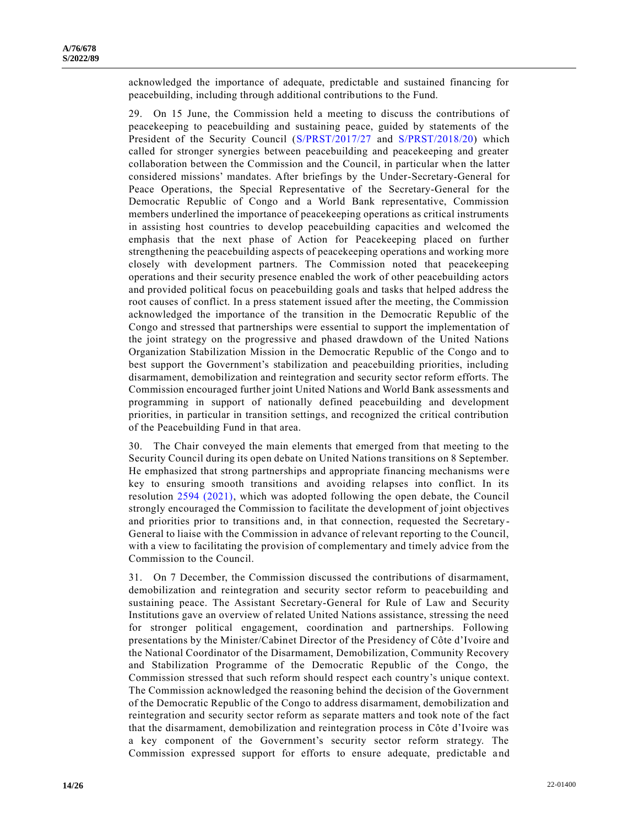acknowledged the importance of adequate, predictable and sustained financing for peacebuilding, including through additional contributions to the Fund.

29. On 15 June, the Commission held a meeting to discuss the contributions of peacekeeping to peacebuilding and sustaining peace, guided by statements of the President of the Security Council [\(S/PRST/2017/27](https://undocs.org/en/S/PRST/2017/27) and [S/PRST/2018/20\)](https://undocs.org/en/S/PRST/2018/20) which called for stronger synergies between peacebuilding and peacekeeping and greater collaboration between the Commission and the Council, in particular when the latter considered missions' mandates. After briefings by the Under-Secretary-General for Peace Operations, the Special Representative of the Secretary-General for the Democratic Republic of Congo and a World Bank representative, Commission members underlined the importance of peacekeeping operations as critical instruments in assisting host countries to develop peacebuilding capacities and welcomed the emphasis that the next phase of Action for Peacekeeping placed on further strengthening the peacebuilding aspects of peacekeeping operations and working more closely with development partners. The Commission noted that peacekeeping operations and their security presence enabled the work of other peacebuilding actors and provided political focus on peacebuilding goals and tasks that helped address the root causes of conflict. In a press statement issued after the meeting, the Commission acknowledged the importance of the transition in the Democratic Republic of the Congo and stressed that partnerships were essential to support the implementation of the joint strategy on the progressive and phased drawdown of the United Nations Organization Stabilization Mission in the Democratic Republic of the Congo and to best support the Government's stabilization and peacebuilding priorities, including disarmament, demobilization and reintegration and security sector reform efforts. The Commission encouraged further joint United Nations and World Bank assessments and programming in support of nationally defined peacebuilding and development priorities, in particular in transition settings, and recognized the critical contribution of the Peacebuilding Fund in that area.

30. The Chair conveyed the main elements that emerged from that meeting to the Security Council during its open debate on United Nations transitions on 8 September. He emphasized that strong partnerships and appropriate financing mechanisms wer e key to ensuring smooth transitions and avoiding relapses into conflict. In its resolution [2594 \(2021\),](https://undocs.org/en/S/RES/2594(2021)) which was adopted following the open debate, the Council strongly encouraged the Commission to facilitate the development of joint objectives and priorities prior to transitions and, in that connection, requested the Secretary - General to liaise with the Commission in advance of relevant reporting to the Council, with a view to facilitating the provision of complementary and timely advice from the Commission to the Council.

31. On 7 December, the Commission discussed the contributions of disarmament, demobilization and reintegration and security sector reform to peacebuilding and sustaining peace. The Assistant Secretary-General for Rule of Law and Security Institutions gave an overview of related United Nations assistance, stressing the need for stronger political engagement, coordination and partnerships. Following presentations by the Minister/Cabinet Director of the Presidency of Côte d'Ivoire and the National Coordinator of the Disarmament, Demobilization, Community Recovery and Stabilization Programme of the Democratic Republic of the Congo, the Commission stressed that such reform should respect each country's unique context. The Commission acknowledged the reasoning behind the decision of the Government of the Democratic Republic of the Congo to address disarmament, demobilization and reintegration and security sector reform as separate matters and took note of the fact that the disarmament, demobilization and reintegration process in Côte d'Ivoire was a key component of the Government's security sector reform strategy. The Commission expressed support for efforts to ensure adequate, predictable and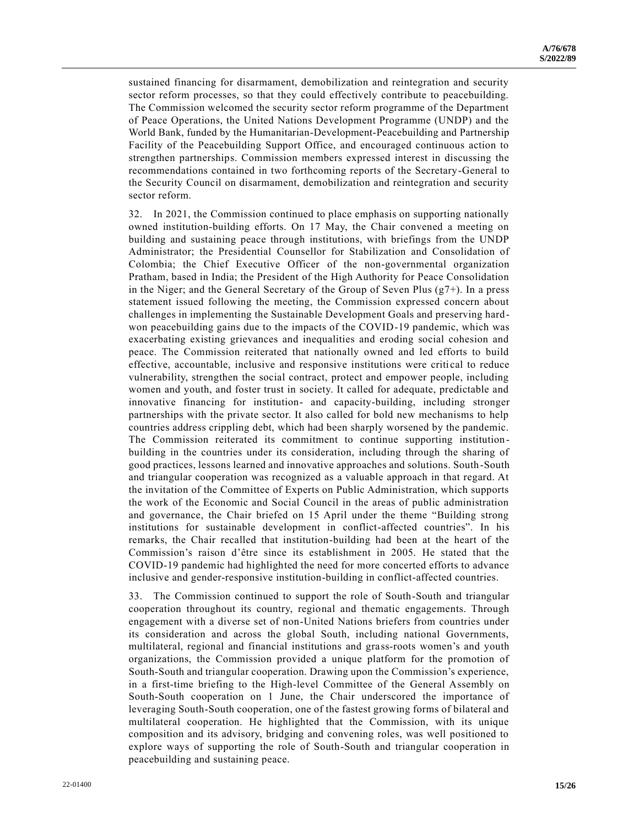sustained financing for disarmament, demobilization and reintegration and security sector reform processes, so that they could effectively contribute to peacebuilding. The Commission welcomed the security sector reform programme of the Department of Peace Operations, the United Nations Development Programme (UNDP) and the World Bank, funded by the Humanitarian-Development-Peacebuilding and Partnership Facility of the Peacebuilding Support Office, and encouraged continuous action to strengthen partnerships. Commission members expressed interest in discussing the recommendations contained in two forthcoming reports of the Secretary-General to the Security Council on disarmament, demobilization and reintegration and security sector reform.

32. In 2021, the Commission continued to place emphasis on supporting nationally owned institution-building efforts. On 17 May, the Chair convened a meeting on building and sustaining peace through institutions, with briefings from the UNDP Administrator; the Presidential Counsellor for Stabilization and Consolidation of Colombia; the Chief Executive Officer of the non-governmental organization Pratham, based in India; the President of the High Authority for Peace Consolidation in the Niger; and the General Secretary of the Group of Seven Plus  $(g7+)$ . In a press statement issued following the meeting, the Commission expressed concern about challenges in implementing the Sustainable Development Goals and preserving hardwon peacebuilding gains due to the impacts of the COVID-19 pandemic, which was exacerbating existing grievances and inequalities and eroding social cohesion and peace. The Commission reiterated that nationally owned and led efforts to build effective, accountable, inclusive and responsive institutions were critical to reduce vulnerability, strengthen the social contract, protect and empower people, including women and youth, and foster trust in society. It called for adequate, predictable and innovative financing for institution- and capacity-building, including stronger partnerships with the private sector. It also called for bold new mechanisms to help countries address crippling debt, which had been sharply worsened by the pandemic. The Commission reiterated its commitment to continue supporting institution building in the countries under its consideration, including through the sharing of good practices, lessons learned and innovative approaches and solutions. South-South and triangular cooperation was recognized as a valuable approach in that regard. At the invitation of the Committee of Experts on Public Administration, which supports the work of the Economic and Social Council in the areas of public administration and governance, the Chair briefed on 15 April under the theme "Building strong institutions for sustainable development in conflict-affected countries". In his remarks, the Chair recalled that institution-building had been at the heart of the Commission's raison d'être since its establishment in 2005. He stated that the COVID-19 pandemic had highlighted the need for more concerted efforts to advance inclusive and gender-responsive institution-building in conflict-affected countries.

33. The Commission continued to support the role of South-South and triangular cooperation throughout its country, regional and thematic engagements. Through engagement with a diverse set of non-United Nations briefers from countries under its consideration and across the global South, including national Governments, multilateral, regional and financial institutions and grass-roots women's and youth organizations, the Commission provided a unique platform for the promotion of South-South and triangular cooperation. Drawing upon the Commission's experience, in a first-time briefing to the High-level Committee of the General Assembly on South-South cooperation on 1 June, the Chair underscored the importance of leveraging South-South cooperation, one of the fastest growing forms of bilateral and multilateral cooperation. He highlighted that the Commission, with its unique composition and its advisory, bridging and convening roles, was well positioned to explore ways of supporting the role of South-South and triangular cooperation in peacebuilding and sustaining peace.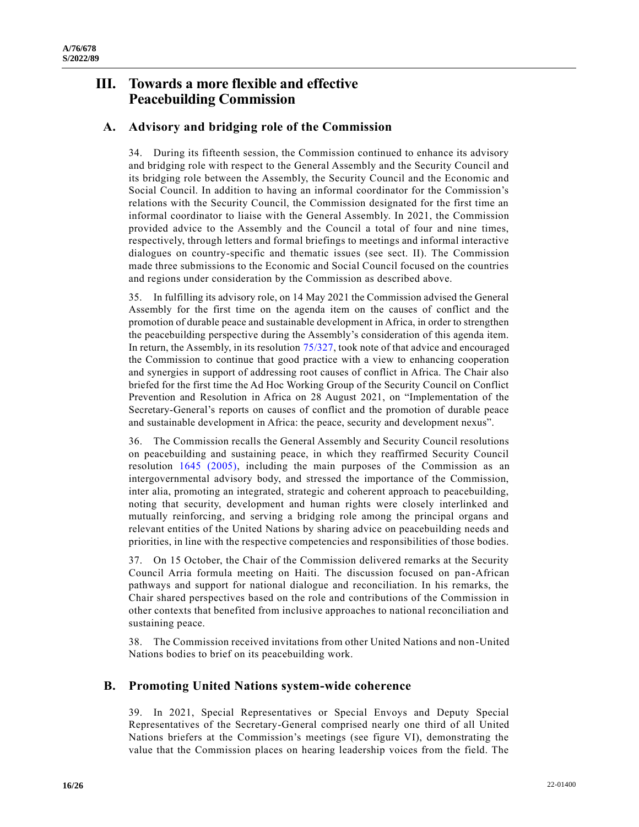## **III. Towards a more flexible and effective Peacebuilding Commission**

## **A. Advisory and bridging role of the Commission**

34. During its fifteenth session, the Commission continued to enhance its advisory and bridging role with respect to the General Assembly and the Security Council and its bridging role between the Assembly, the Security Council and the Economic and Social Council. In addition to having an informal coordinator for the Commission's relations with the Security Council, the Commission designated for the first time an informal coordinator to liaise with the General Assembly. In 2021, the Commission provided advice to the Assembly and the Council a total of four and nine times, respectively, through letters and formal briefings to meetings and informal interactive dialogues on country-specific and thematic issues (see sect. II). The Commission made three submissions to the Economic and Social Council focused on the countries and regions under consideration by the Commission as described above.

35. In fulfilling its advisory role, on 14 May 2021 the Commission advised the General Assembly for the first time on the agenda item on the causes of conflict and the promotion of durable peace and sustainable development in Africa, in order to strengthen the peacebuilding perspective during the Assembly's consideration of this agenda item. In return, the Assembly, in its resolution [75/327,](https://undocs.org/en/A/RES/75/327) took note of that advice and encouraged the Commission to continue that good practice with a view to enhancing cooperation and synergies in support of addressing root causes of conflict in Africa. The Chair also briefed for the first time the Ad Hoc Working Group of the Security Council on Conflict Prevention and Resolution in Africa on 28 August 2021, on "Implementation of the Secretary-General's reports on causes of conflict and the promotion of durable peace and sustainable development in Africa: the peace, security and development nexus".

36. The Commission recalls the General Assembly and Security Council resolutions on peacebuilding and sustaining peace, in which they reaffirmed Security Council resolution [1645 \(2005\),](https://undocs.org/en/S/RES/1645(2005)) including the main purposes of the Commission as an intergovernmental advisory body, and stressed the importance of the Commission, inter alia, promoting an integrated, strategic and coherent approach to peacebuilding, noting that security, development and human rights were closely interlinked and mutually reinforcing, and serving a bridging role among the principal organs and relevant entities of the United Nations by sharing advice on peacebuilding needs and priorities, in line with the respective competencies and responsibilities of those bodies.

37. On 15 October, the Chair of the Commission delivered remarks at the Security Council Arria formula meeting on Haiti. The discussion focused on pan-African pathways and support for national dialogue and reconciliation. In his remarks, the Chair shared perspectives based on the role and contributions of the Commission in other contexts that benefited from inclusive approaches to national reconciliation and sustaining peace.

38. The Commission received invitations from other United Nations and non-United Nations bodies to brief on its peacebuilding work.

## **B. Promoting United Nations system-wide coherence**

39. In 2021, Special Representatives or Special Envoys and Deputy Special Representatives of the Secretary-General comprised nearly one third of all United Nations briefers at the Commission's meetings (see figure VI), demonstrating the value that the Commission places on hearing leadership voices from the field. The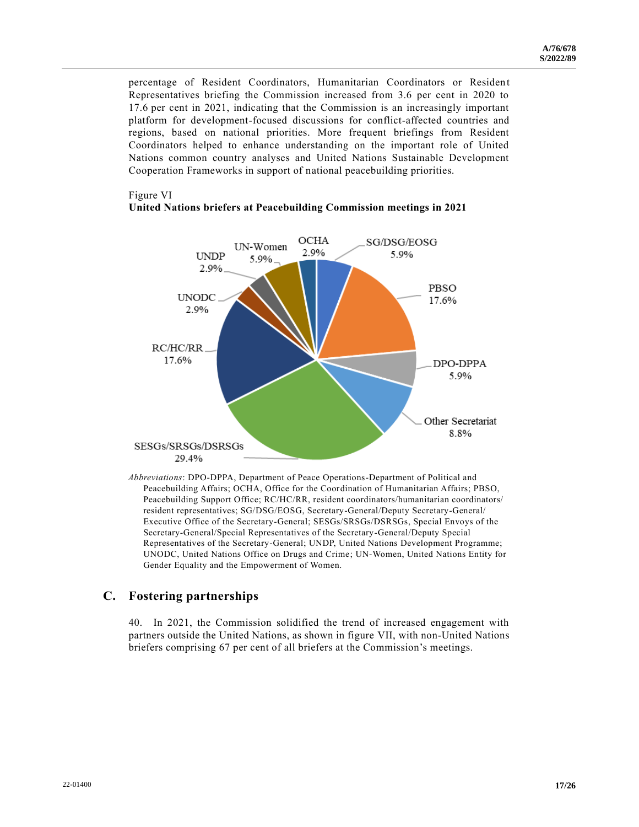percentage of Resident Coordinators, Humanitarian Coordinators or Resident Representatives briefing the Commission increased from 3.6 per cent in 2020 to 17.6 per cent in 2021, indicating that the Commission is an increasingly important platform for development-focused discussions for conflict-affected countries and regions, based on national priorities. More frequent briefings from Resident Coordinators helped to enhance understanding on the important role of United Nations common country analyses and United Nations Sustainable Development Cooperation Frameworks in support of national peacebuilding priorities.

#### Figure VI

## **United Nations briefers at Peacebuilding Commission meetings in 2021**



*Abbreviations*: DPO-DPPA, Department of Peace Operations-Department of Political and Peacebuilding Affairs; OCHA, Office for the Coordination of Humanitarian Affairs; PBSO, Peacebuilding Support Office; RC/HC/RR, resident coordinators/humanitarian coordinators/ resident representatives; SG/DSG/EOSG, Secretary-General/Deputy Secretary-General/ Executive Office of the Secretary-General; SESGs/SRSGs/DSRSGs, Special Envoys of the Secretary-General/Special Representatives of the Secretary-General/Deputy Special Representatives of the Secretary-General; UNDP, United Nations Development Programme; UNODC, United Nations Office on Drugs and Crime; UN-Women, United Nations Entity for Gender Equality and the Empowerment of Women.

## **C. Fostering partnerships**

40. In 2021, the Commission solidified the trend of increased engagement with partners outside the United Nations, as shown in figure VII, with non-United Nations briefers comprising 67 per cent of all briefers at the Commission's meetings.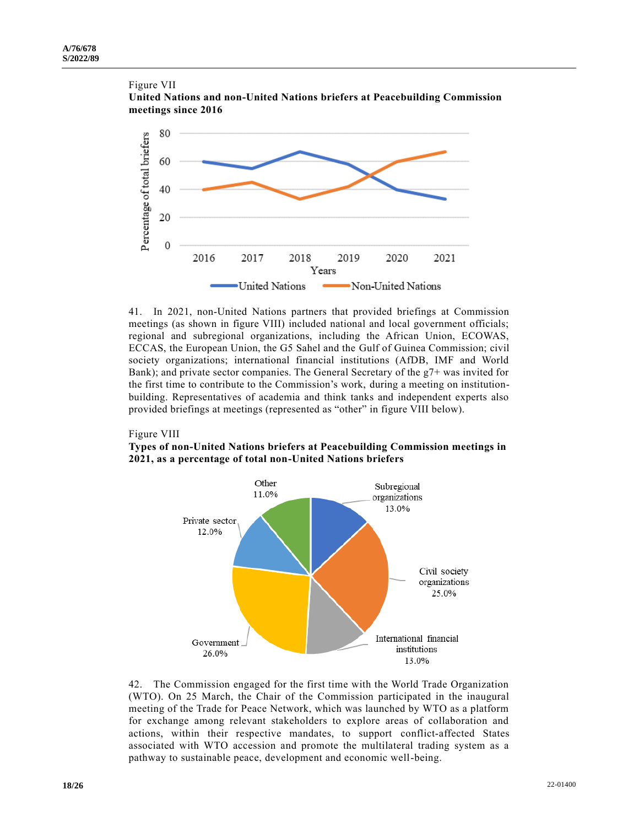



41. In 2021, non-United Nations partners that provided briefings at Commission meetings (as shown in figure VIII) included national and local government officials; regional and subregional organizations, including the African Union, ECOWAS, ECCAS, the European Union, the G5 Sahel and the Gulf of Guinea Commission; civil society organizations; international financial institutions (AfDB, IMF and World Bank); and private sector companies. The General Secretary of the g7+ was invited for the first time to contribute to the Commission's work, during a meeting on institutionbuilding. Representatives of academia and think tanks and independent experts also provided briefings at meetings (represented as "other" in figure VIII below).

### Figure VIII

**Types of non-United Nations briefers at Peacebuilding Commission meetings in 2021, as a percentage of total non-United Nations briefers** 



42. The Commission engaged for the first time with the World Trade Organization (WTO). On 25 March, the Chair of the Commission participated in the inaugural meeting of the Trade for Peace Network, which was launched by WTO as a platform for exchange among relevant stakeholders to explore areas of collaboration and actions, within their respective mandates, to support conflict-affected States associated with WTO accession and promote the multilateral trading system as a pathway to sustainable peace, development and economic well-being.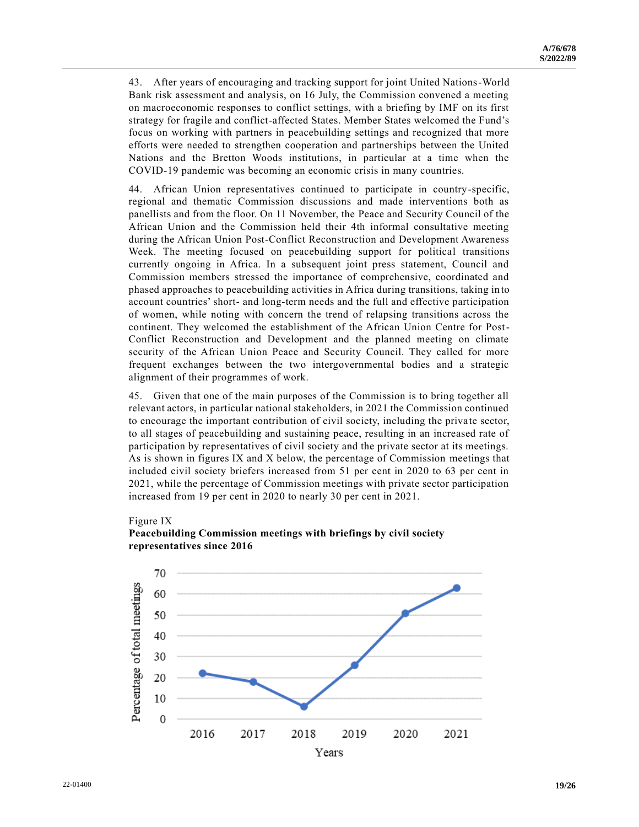43. After years of encouraging and tracking support for joint United Nations-World Bank risk assessment and analysis, on 16 July, the Commission convened a meeting on macroeconomic responses to conflict settings, with a briefing by IMF on its first strategy for fragile and conflict-affected States. Member States welcomed the Fund's focus on working with partners in peacebuilding settings and recognized that more efforts were needed to strengthen cooperation and partnerships between the United Nations and the Bretton Woods institutions, in particular at a time when the COVID-19 pandemic was becoming an economic crisis in many countries.

44. African Union representatives continued to participate in country-specific, regional and thematic Commission discussions and made interventions both as panellists and from the floor. On 11 November, the Peace and Security Council of the African Union and the Commission held their 4th informal consultative meeting during the African Union Post-Conflict Reconstruction and Development Awareness Week. The meeting focused on peacebuilding support for political transitions currently ongoing in Africa. In a subsequent joint press statement, Council and Commission members stressed the importance of comprehensive, coordinated and phased approaches to peacebuilding activities in Africa during transitions, taking in to account countries' short- and long-term needs and the full and effective participation of women, while noting with concern the trend of relapsing transitions across the continent. They welcomed the establishment of the African Union Centre for Post-Conflict Reconstruction and Development and the planned meeting on climate security of the African Union Peace and Security Council. They called for more frequent exchanges between the two intergovernmental bodies and a strategic alignment of their programmes of work.

45. Given that one of the main purposes of the Commission is to bring together all relevant actors, in particular national stakeholders, in 2021 the Commission continued to encourage the important contribution of civil society, including the private sector, to all stages of peacebuilding and sustaining peace, resulting in an increased rate of participation by representatives of civil society and the private sector at its meetings. As is shown in figures IX and X below, the percentage of Commission meetings that included civil society briefers increased from 51 per cent in 2020 to 63 per cent in 2021, while the percentage of Commission meetings with private sector participation increased from 19 per cent in 2020 to nearly 30 per cent in 2021.

### Figure IX



## **Peacebuilding Commission meetings with briefings by civil society representatives since 2016**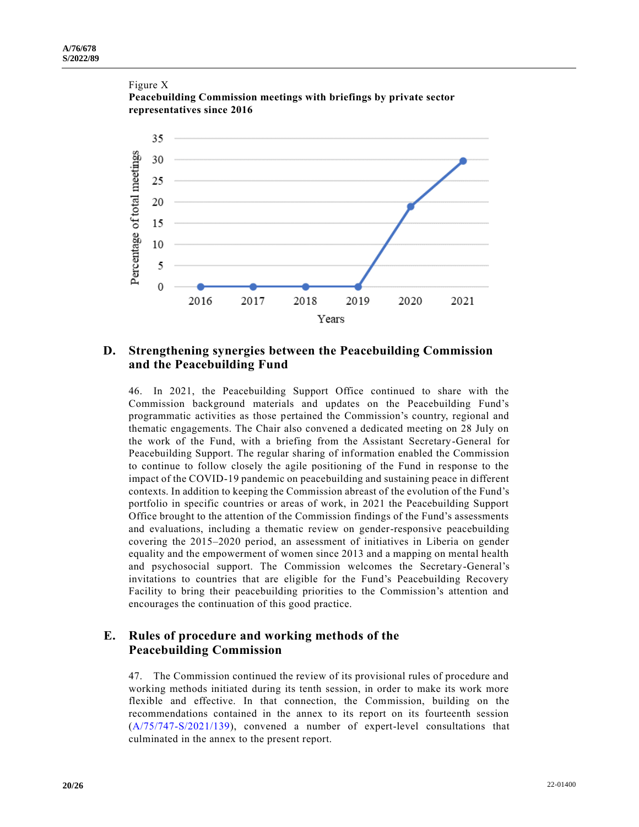

# Figure X

## **D. Strengthening synergies between the Peacebuilding Commission and the Peacebuilding Fund**

46. In 2021, the Peacebuilding Support Office continued to share with the Commission background materials and updates on the Peacebuilding Fund's programmatic activities as those pertained the Commission's country, regional and thematic engagements. The Chair also convened a dedicated meeting on 28 July on the work of the Fund, with a briefing from the Assistant Secretary-General for Peacebuilding Support. The regular sharing of information enabled the Commission to continue to follow closely the agile positioning of the Fund in response to the impact of the COVID-19 pandemic on peacebuilding and sustaining peace in different contexts. In addition to keeping the Commission abreast of the evolution of the Fund's portfolio in specific countries or areas of work, in 2021 the Peacebuilding Support Office brought to the attention of the Commission findings of the Fund's assessments and evaluations, including a thematic review on gender-responsive peacebuilding covering the 2015–2020 period, an assessment of initiatives in Liberia on gender equality and the empowerment of women since 2013 and a mapping on mental health and psychosocial support. The Commission welcomes the Secretary-General's invitations to countries that are eligible for the Fund's Peacebuilding Recovery Facility to bring their peacebuilding priorities to the Commission's attention and encourages the continuation of this good practice.

## **E. Rules of procedure and working methods of the Peacebuilding Commission**

47. The Commission continued the review of its provisional rules of procedure and working methods initiated during its tenth session, in order to make its work more flexible and effective. In that connection, the Commission, building on the recommendations contained in the annex to its report on its fourteenth session [\(A/75/747-S/2021/139\)](https://undocs.org/en/A/75/747), convened a number of expert-level consultations that culminated in the annex to the present report.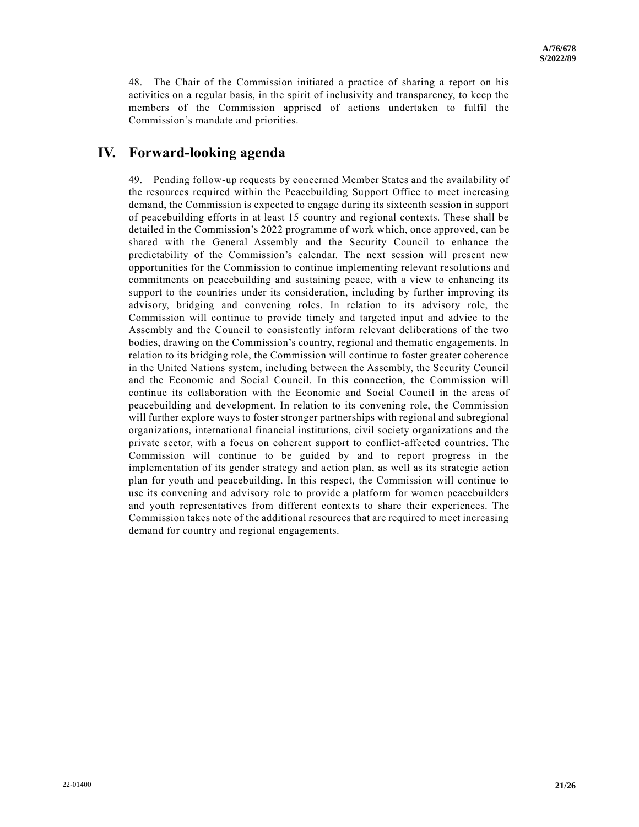48. The Chair of the Commission initiated a practice of sharing a report on his activities on a regular basis, in the spirit of inclusivity and transparency, to keep the members of the Commission apprised of actions undertaken to fulfil the Commission's mandate and priorities.

## **IV. Forward-looking agenda**

49. Pending follow-up requests by concerned Member States and the availability of the resources required within the Peacebuilding Support Office to meet increasing demand, the Commission is expected to engage during its sixteenth session in support of peacebuilding efforts in at least 15 country and regional contexts. These shall be detailed in the Commission's 2022 programme of work which, once approved, can be shared with the General Assembly and the Security Council to enhance the predictability of the Commission's calendar. The next session will present new opportunities for the Commission to continue implementing relevant resolutio ns and commitments on peacebuilding and sustaining peace, with a view to enhancing its support to the countries under its consideration, including by further improving its advisory, bridging and convening roles. In relation to its advisory role, the Commission will continue to provide timely and targeted input and advice to the Assembly and the Council to consistently inform relevant deliberations of the two bodies, drawing on the Commission's country, regional and thematic engagements. In relation to its bridging role, the Commission will continue to foster greater coherence in the United Nations system, including between the Assembly, the Security Council and the Economic and Social Council. In this connection, the Commission will continue its collaboration with the Economic and Social Council in the areas of peacebuilding and development. In relation to its convening role, the Commission will further explore ways to foster stronger partnerships with regional and subregional organizations, international financial institutions, civil society organizations and the private sector, with a focus on coherent support to conflict-affected countries. The Commission will continue to be guided by and to report progress in the implementation of its gender strategy and action plan, as well as its strategic action plan for youth and peacebuilding. In this respect, the Commission will continue to use its convening and advisory role to provide a platform for women peacebuilders and youth representatives from different contexts to share their experiences. The Commission takes note of the additional resources that are required to meet increasing demand for country and regional engagements.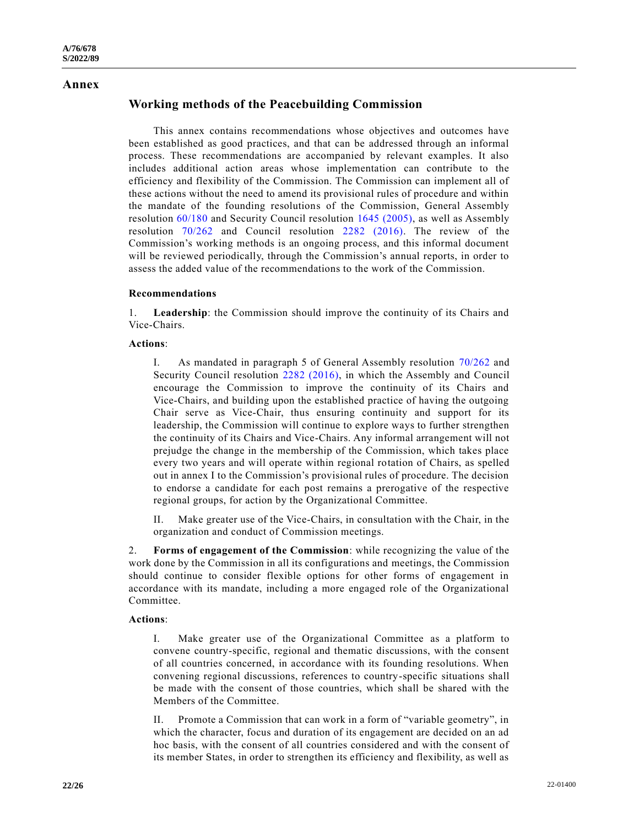### **Annex**

## **Working methods of the Peacebuilding Commission**

This annex contains recommendations whose objectives and outcomes have been established as good practices, and that can be addressed through an informal process. These recommendations are accompanied by relevant examples. It also includes additional action areas whose implementation can contribute to the efficiency and flexibility of the Commission. The Commission can implement all of these actions without the need to amend its provisional rules of procedure and within the mandate of the founding resolutions of the Commission, General Assembly resolution [60/180](https://undocs.org/en/A/RES/60/180) and Security Council resolution [1645 \(2005\),](https://undocs.org/en/S/RES/1645(2005)) as well as Assembly resolution [70/262](https://undocs.org/en/A/RES/70/262) and Council resolution [2282 \(2016\).](https://undocs.org/en/S/RES/2282(2016)) The review of the Commission's working methods is an ongoing process, and this informal document will be reviewed periodically, through the Commission's annual reports, in order to assess the added value of the recommendations to the work of the Commission.

## **Recommendations**

1. **Leadership**: the Commission should improve the continuity of its Chairs and Vice-Chairs.

#### **Actions**:

I. As mandated in paragraph 5 of General Assembly resolution [70/262](https://undocs.org/en/A/RES/70/262) and Security Council resolution [2282 \(2016\),](https://undocs.org/en/S/RES/2282(2016)) in which the Assembly and Council encourage the Commission to improve the continuity of its Chairs and Vice-Chairs, and building upon the established practice of having the outgoing Chair serve as Vice-Chair, thus ensuring continuity and support for its leadership, the Commission will continue to explore ways to further strengthen the continuity of its Chairs and Vice-Chairs. Any informal arrangement will not prejudge the change in the membership of the Commission, which takes place every two years and will operate within regional rotation of Chairs, as spelled out in annex I to the Commission's provisional rules of procedure. The decision to endorse a candidate for each post remains a prerogative of the respective regional groups, for action by the Organizational Committee.

II. Make greater use of the Vice-Chairs, in consultation with the Chair, in the organization and conduct of Commission meetings.

2. **Forms of engagement of the Commission**: while recognizing the value of the work done by the Commission in all its configurations and meetings, the Commission should continue to consider flexible options for other forms of engagement in accordance with its mandate, including a more engaged role of the Organizational Committee.

#### **Actions**:

I. Make greater use of the Organizational Committee as a platform to convene country-specific, regional and thematic discussions, with the consent of all countries concerned, in accordance with its founding resolutions. When convening regional discussions, references to country-specific situations shall be made with the consent of those countries, which shall be shared with the Members of the Committee.

II. Promote a Commission that can work in a form of "variable geometry", in which the character, focus and duration of its engagement are decided on an ad hoc basis, with the consent of all countries considered and with the consent of its member States, in order to strengthen its efficiency and flexibility, as well as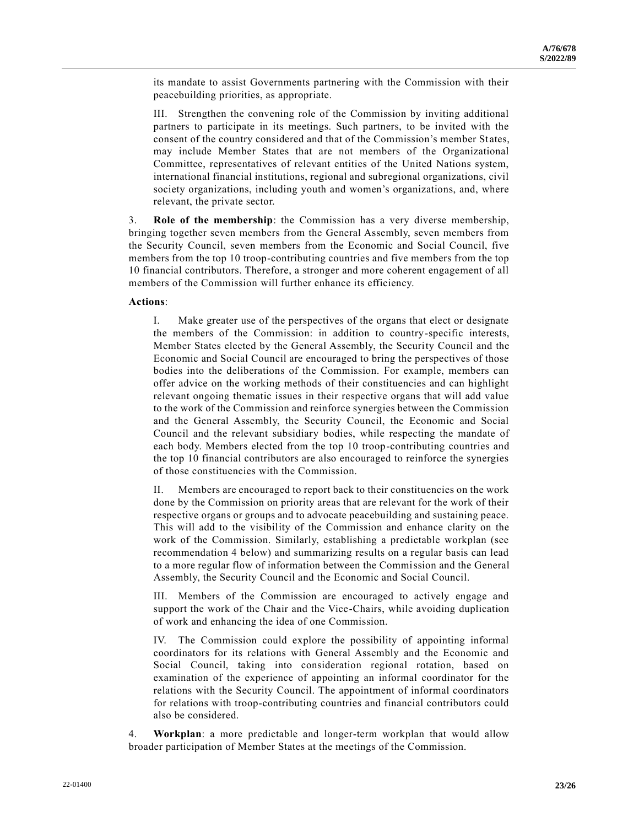its mandate to assist Governments partnering with the Commission with their peacebuilding priorities, as appropriate.

III. Strengthen the convening role of the Commission by inviting additional partners to participate in its meetings. Such partners, to be invited with the consent of the country considered and that of the Commission's member States, may include Member States that are not members of the Organizational Committee, representatives of relevant entities of the United Nations system, international financial institutions, regional and subregional organizations, civil society organizations, including youth and women's organizations, and, where relevant, the private sector.

3. **Role of the membership**: the Commission has a very diverse membership, bringing together seven members from the General Assembly, seven members from the Security Council, seven members from the Economic and Social Council, five members from the top 10 troop-contributing countries and five members from the top 10 financial contributors. Therefore, a stronger and more coherent engagement of all members of the Commission will further enhance its efficiency.

## **Actions**:

I. Make greater use of the perspectives of the organs that elect or designate the members of the Commission: in addition to country-specific interests, Member States elected by the General Assembly, the Security Council and the Economic and Social Council are encouraged to bring the perspectives of those bodies into the deliberations of the Commission. For example, members can offer advice on the working methods of their constituencies and can highlight relevant ongoing thematic issues in their respective organs that will add value to the work of the Commission and reinforce synergies between the Commission and the General Assembly, the Security Council, the Economic and Social Council and the relevant subsidiary bodies, while respecting the mandate of each body. Members elected from the top 10 troop-contributing countries and the top 10 financial contributors are also encouraged to reinforce the synergies of those constituencies with the Commission.

II. Members are encouraged to report back to their constituencies on the work done by the Commission on priority areas that are relevant for the work of their respective organs or groups and to advocate peacebuilding and sustaining peace. This will add to the visibility of the Commission and enhance clarity on the work of the Commission. Similarly, establishing a predictable workplan (see recommendation 4 below) and summarizing results on a regular basis can lead to a more regular flow of information between the Commission and the General Assembly, the Security Council and the Economic and Social Council.

III. Members of the Commission are encouraged to actively engage and support the work of the Chair and the Vice-Chairs, while avoiding duplication of work and enhancing the idea of one Commission.

IV. The Commission could explore the possibility of appointing informal coordinators for its relations with General Assembly and the Economic and Social Council, taking into consideration regional rotation, based on examination of the experience of appointing an informal coordinator for the relations with the Security Council. The appointment of informal coordinators for relations with troop-contributing countries and financial contributors could also be considered.

4. **Workplan**: a more predictable and longer-term workplan that would allow broader participation of Member States at the meetings of the Commission.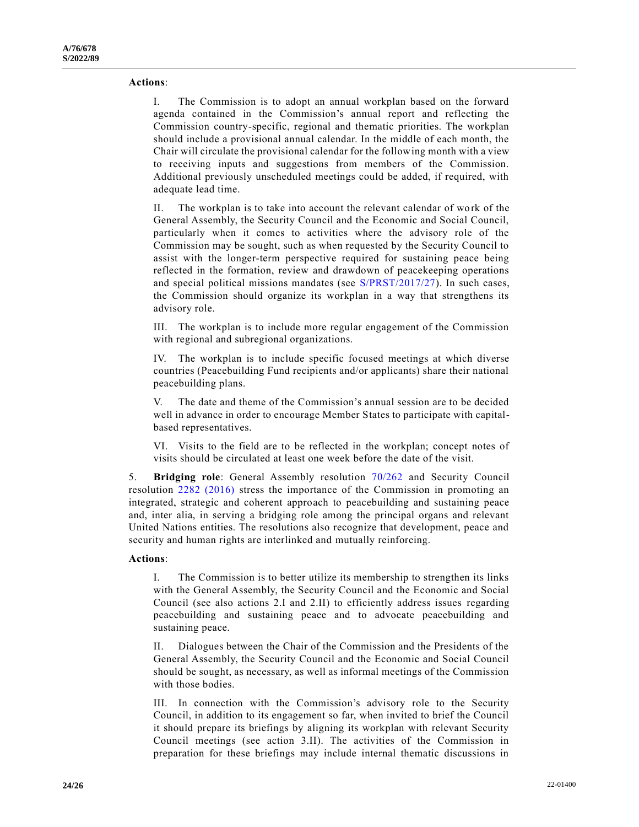## **Actions**:

I. The Commission is to adopt an annual workplan based on the forward agenda contained in the Commission's annual report and reflecting the Commission country-specific, regional and thematic priorities. The workplan should include a provisional annual calendar. In the middle of each month, the Chair will circulate the provisional calendar for the following month with a view to receiving inputs and suggestions from members of the Commission. Additional previously unscheduled meetings could be added, if required, with adequate lead time.

II. The workplan is to take into account the relevant calendar of work of the General Assembly, the Security Council and the Economic and Social Council, particularly when it comes to activities where the advisory role of the Commission may be sought, such as when requested by the Security Council to assist with the longer-term perspective required for sustaining peace being reflected in the formation, review and drawdown of peacekeeping operations and special political missions mandates (see [S/PRST/2017/27\)](https://undocs.org/en/S/PRST/2017/27). In such cases, the Commission should organize its workplan in a way that strengthens its advisory role.

III. The workplan is to include more regular engagement of the Commission with regional and subregional organizations.

IV. The workplan is to include specific focused meetings at which diverse countries (Peacebuilding Fund recipients and/or applicants) share their national peacebuilding plans.

V. The date and theme of the Commission's annual session are to be decided well in advance in order to encourage Member States to participate with capitalbased representatives.

VI. Visits to the field are to be reflected in the workplan; concept notes of visits should be circulated at least one week before the date of the visit.

5. **Bridging role**: General Assembly resolution [70/262](https://undocs.org/en/A/RES/70/262) and Security Council resolution [2282 \(2016\)](https://undocs.org/en/S/RES/2282(2016)) stress the importance of the Commission in promoting an integrated, strategic and coherent approach to peacebuilding and sustaining peace and, inter alia, in serving a bridging role among the principal organs and relevant United Nations entities. The resolutions also recognize that development, peace and security and human rights are interlinked and mutually reinforcing.

### **Actions**:

I. The Commission is to better utilize its membership to strengthen its links with the General Assembly, the Security Council and the Economic and Social Council (see also actions 2.I and 2.II) to efficiently address issues regarding peacebuilding and sustaining peace and to advocate peacebuilding and sustaining peace.

II. Dialogues between the Chair of the Commission and the Presidents of the General Assembly, the Security Council and the Economic and Social Council should be sought, as necessary, as well as informal meetings of the Commission with those bodies.

III. In connection with the Commission's advisory role to the Security Council, in addition to its engagement so far, when invited to brief the Council it should prepare its briefings by aligning its workplan with relevant Security Council meetings (see action 3.II). The activities of the Commission in preparation for these briefings may include internal thematic discussions in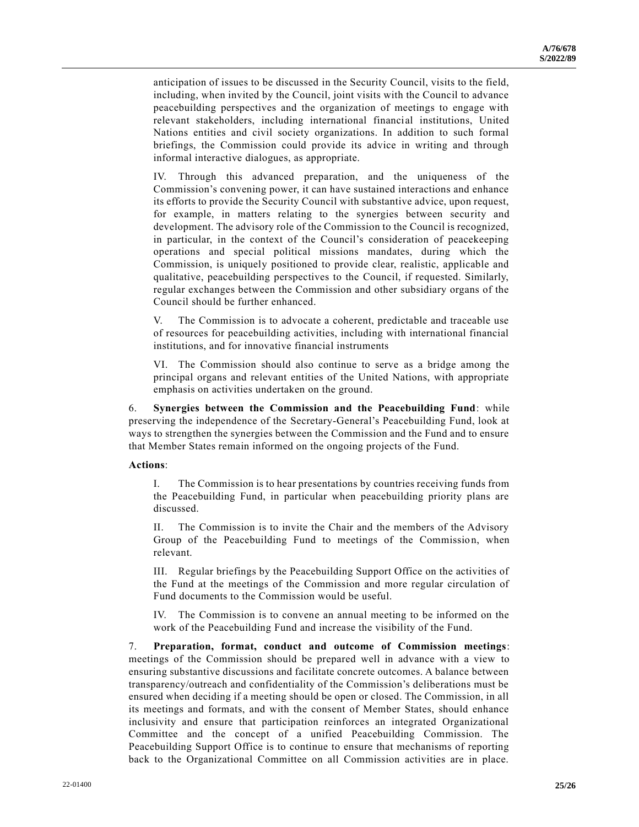anticipation of issues to be discussed in the Security Council, visits to the field, including, when invited by the Council, joint visits with the Council to advance peacebuilding perspectives and the organization of meetings to engage with relevant stakeholders, including international financial institutions, United Nations entities and civil society organizations. In addition to such formal briefings, the Commission could provide its advice in writing and through informal interactive dialogues, as appropriate.

IV. Through this advanced preparation, and the uniqueness of the Commission's convening power, it can have sustained interactions and enhance its efforts to provide the Security Council with substantive advice, upon request, for example, in matters relating to the synergies between security and development. The advisory role of the Commission to the Council is recognized, in particular, in the context of the Council's consideration of peacekeeping operations and special political missions mandates, during which the Commission, is uniquely positioned to provide clear, realistic, applicable and qualitative, peacebuilding perspectives to the Council, if requested. Similarly, regular exchanges between the Commission and other subsidiary organs of the Council should be further enhanced.

V. The Commission is to advocate a coherent, predictable and traceable use of resources for peacebuilding activities, including with international financial institutions, and for innovative financial instruments

VI. The Commission should also continue to serve as a bridge among the principal organs and relevant entities of the United Nations, with appropriate emphasis on activities undertaken on the ground.

6. **Synergies between the Commission and the Peacebuilding Fund**: while preserving the independence of the Secretary-General's Peacebuilding Fund, look at ways to strengthen the synergies between the Commission and the Fund and to ensure that Member States remain informed on the ongoing projects of the Fund.

### **Actions**:

I. The Commission is to hear presentations by countries receiving funds from the Peacebuilding Fund, in particular when peacebuilding priority plans are discussed.

II. The Commission is to invite the Chair and the members of the Advisory Group of the Peacebuilding Fund to meetings of the Commission, when relevant.

III. Regular briefings by the Peacebuilding Support Office on the activities of the Fund at the meetings of the Commission and more regular circulation of Fund documents to the Commission would be useful.

IV. The Commission is to convene an annual meeting to be informed on the work of the Peacebuilding Fund and increase the visibility of the Fund.

7. **Preparation, format, conduct and outcome of Commission meetings**: meetings of the Commission should be prepared well in advance with a view to ensuring substantive discussions and facilitate concrete outcomes. A balance between transparency/outreach and confidentiality of the Commission's deliberations must be ensured when deciding if a meeting should be open or closed. The Commission, in all its meetings and formats, and with the consent of Member States, should enhance inclusivity and ensure that participation reinforces an integrated Organizational Committee and the concept of a unified Peacebuilding Commission. The Peacebuilding Support Office is to continue to ensure that mechanisms of reporting back to the Organizational Committee on all Commission activities are in place.